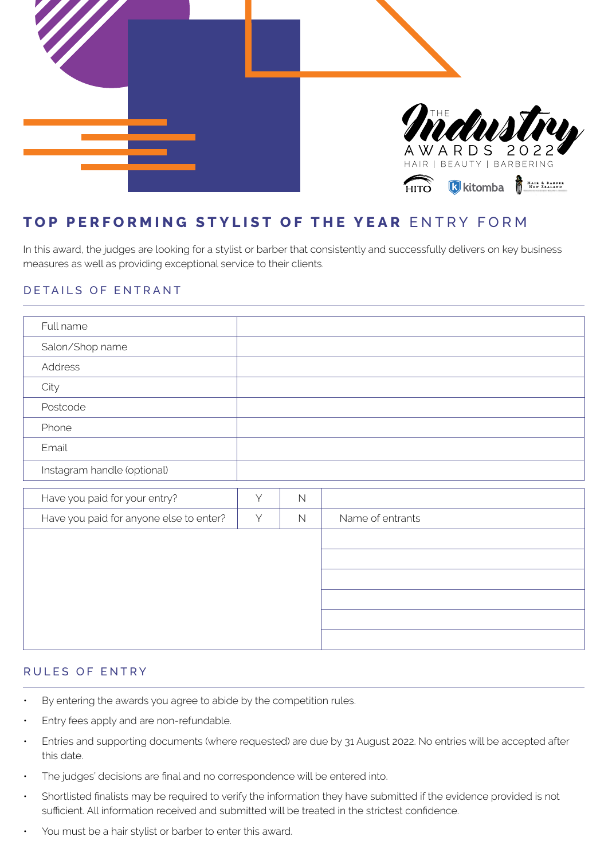

# **TOP PERFORMING STYLIST OF THE YEAR** ENTRY FORM

In this award, the judges are looking for a stylist or barber that consistently and successfully delivers on key business measures as well as providing exceptional service to their clients.

### DETAILS OF ENTRANT

| Full name                               |   |             |                  |
|-----------------------------------------|---|-------------|------------------|
| Salon/Shop name                         |   |             |                  |
| Address                                 |   |             |                  |
| City                                    |   |             |                  |
| Postcode                                |   |             |                  |
| Phone                                   |   |             |                  |
| Email                                   |   |             |                  |
| Instagram handle (optional)             |   |             |                  |
| Have you paid for your entry?           | Y | $\mathbb N$ |                  |
| Have you paid for anyone else to enter? | Y | $\mathbb N$ | Name of entrants |
|                                         |   |             |                  |
|                                         |   |             |                  |
|                                         |   |             |                  |
|                                         |   |             |                  |
|                                         |   |             |                  |
|                                         |   |             |                  |

#### RULES OF ENTRY

- By entering the awards you agree to abide by the competition rules.
- Entry fees apply and are non-refundable.
- Entries and supporting documents (where requested) are due by 31 August 2022. No entries will be accepted after this date.
- The judges' decisions are final and no correspondence will be entered into.
- Shortlisted finalists may be required to verify the information they have submitted if the evidence provided is not sufficient. All information received and submitted will be treated in the strictest confidence.
- You must be a hair stylist or barber to enter this award.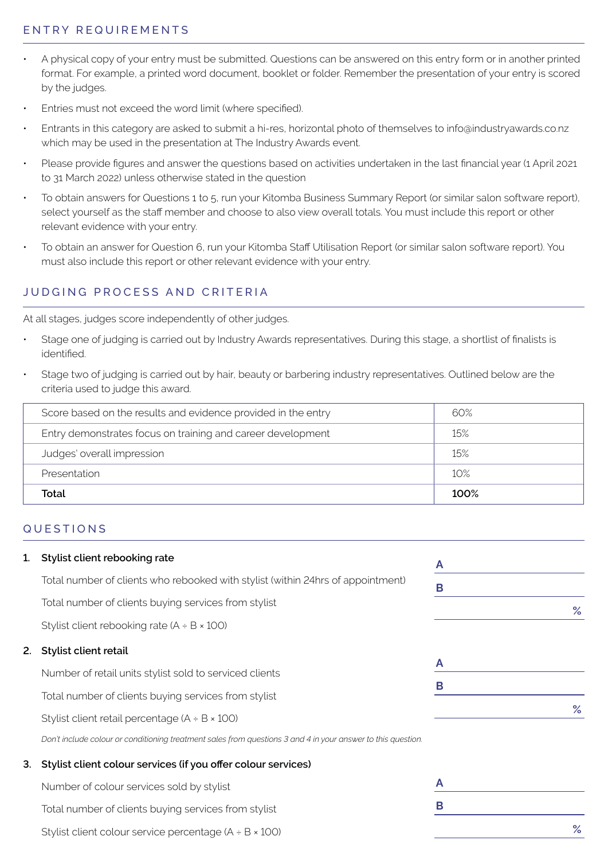# ENTRY REQUIREMENTS

- A physical copy of your entry must be submitted. Questions can be answered on this entry form or in another printed format. For example, a printed word document, booklet or folder. Remember the presentation of your entry is scored by the judges.
- Entries must not exceed the word limit (where specified).
- Entrants in this category are asked to submit a hi-res, horizontal photo of themselves to info@industryawards.co.nz which may be used in the presentation at The Industry Awards event.
- Please provide figures and answer the questions based on activities undertaken in the last financial year (1 April 2021 to 31 March 2022) unless otherwise stated in the question
- To obtain answers for Questions 1 to 5, run your Kitomba Business Summary Report (or similar salon software report), select yourself as the staff member and choose to also view overall totals. You must include this report or other relevant evidence with your entry.
- To obtain an answer for Question 6, run your Kitomba Staff Utilisation Report (or similar salon software report). You must also include this report or other relevant evidence with your entry.

# JUDGING PROCESS AND CRITERIA

At all stages, judges score independently of other judges.

- Stage one of judging is carried out by Industry Awards representatives. During this stage, a shortlist of finalists is identified.
- Stage two of judging is carried out by hair, beauty or barbering industry representatives. Outlined below are the criteria used to judge this award.

| Score based on the results and evidence provided in the entry | 60%  |
|---------------------------------------------------------------|------|
| Entry demonstrates focus on training and career development   | 15%  |
| Judges' overall impression                                    | 15%  |
| Presentation                                                  | 10%  |
| Total                                                         | 100% |

#### QUESTIONS

| 1. | Stylist client rebooking rate                                                                                | A |   |
|----|--------------------------------------------------------------------------------------------------------------|---|---|
|    | Total number of clients who rebooked with stylist (within 24hrs of appointment)                              | B |   |
|    | Total number of clients buying services from stylist                                                         |   | % |
|    | Stylist client rebooking rate $(A + B \times 100)$                                                           |   |   |
| 2. | Stylist client retail                                                                                        |   |   |
|    | Number of retail units stylist sold to serviced clients                                                      | A |   |
|    | Total number of clients buying services from stylist                                                         | B |   |
|    | Stylist client retail percentage $(A + B \times 100)$                                                        |   | % |
|    | Don't include colour or conditioning treatment sales from questions 3 and 4 in your answer to this question. |   |   |
| 3. | Stylist client colour services (if you offer colour services)                                                |   |   |
|    | Number of colour services sold by stylist                                                                    | A |   |
|    | Total number of clients buying services from stylist                                                         | B |   |
|    | Stylist client colour service percentage $(A + B \times 100)$                                                |   | % |